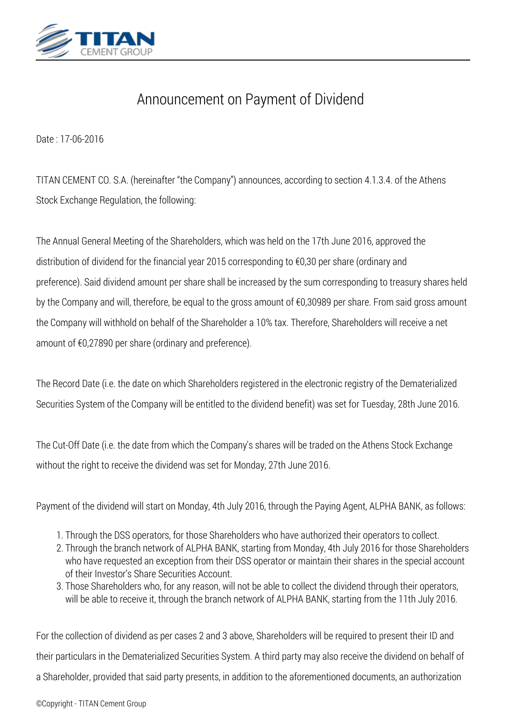

## *Announcement on Payment of Dividend*

*Date : 17-06-2016*

*TITAN CEMENT CO. S.A. (hereinafter "the Company") announces, according to section 4.1.3.4. of the Athens Stock Exchange Regulation, the following:*

*The Annual General Meeting of the Shareholders, which was held on the 17th June 2016, approved the distribution of dividend for the financial year 2015 corresponding to €0,30 per share (ordinary and preference). Said dividend amount per share shall be increased by the sum corresponding to treasury shares held by the Company and will, therefore, be equal to the gross amount of €0,30989 per share. From said gross amount the Company will withhold on behalf of the Shareholder a 10% tax. Therefore, Shareholders will receive a net amount of €0,27890 per share (ordinary and preference).*

*The Record Date (i.e. the date on which Shareholders registered in the electronic registry of the Dematerialized Securities System of the Company will be entitled to the dividend benefit) was set for Tuesday, 28th June 2016.*

*The Cut-Off Date (i.e. the date from which the Company's shares will be traded on the Athens Stock Exchange without the right to receive the dividend was set for Monday, 27th June 2016.*

*Payment of the dividend will start on Monday, 4th July 2016, through the Paying Agent, ALPHA BANK, as follows:*

- *1. Through the DSS operators, for those Shareholders who have authorized their operators to collect.*
- *2. Through the branch network of ALPHA BANK, starting from Monday, 4th July 2016 for those Shareholders who have requested an exception from their DSS operator or maintain their shares in the special account of their Investor's Share Securities Account.*
- *3. Those Shareholders who, for any reason, will not be able to collect the dividend through their operators, will be able to receive it, through the branch network of ALPHA BANK, starting from the 11th July 2016.*

*For the collection of dividend as per cases 2 and 3 above, Shareholders will be required to present their ID and their particulars in the Dematerialized Securities System. A third party may also receive the dividend on behalf of a Shareholder, provided that said party presents, in addition to the aforementioned documents, an authorization*